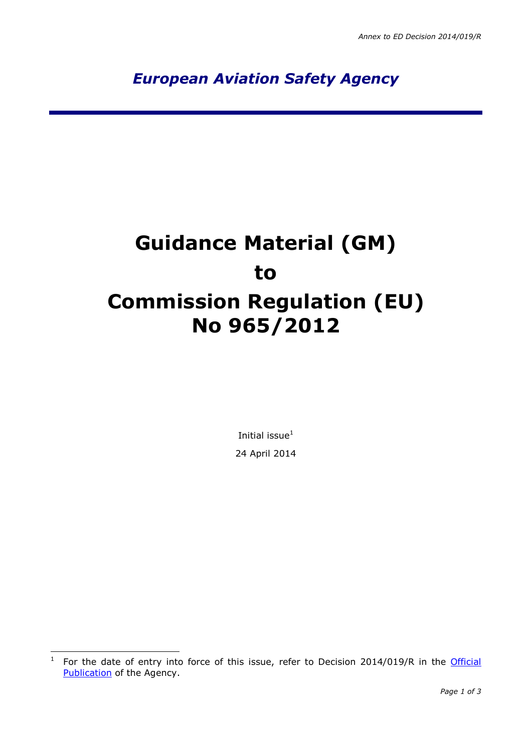*European Aviation Safety Agency*

# **Guidance Material (GM) to Commission Regulation (EU) No 965/2012**

Initial issue $<sup>1</sup>$ </sup> 24 April 2014

 $\frac{1}{1}$ For the date of entry into force of this issue, refer to Decision 2014/019/R in the Official [Publication](http://easa.europa.eu/official-publication/) of the Agency.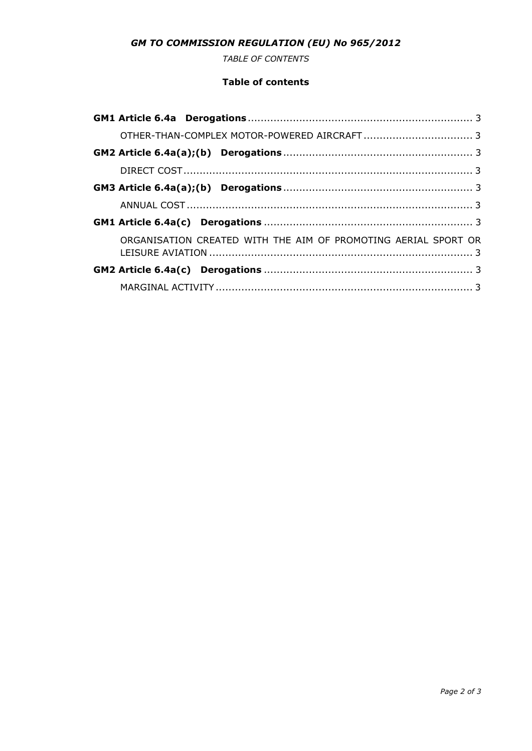## *GM TO COMMISSION REGULATION (EU) No 965/2012*

*TABLE OF CONTENTS*

#### **Table of contents**

|  | ORGANISATION CREATED WITH THE AIM OF PROMOTING AERIAL SPORT OR |
|--|----------------------------------------------------------------|
|  |                                                                |
|  |                                                                |